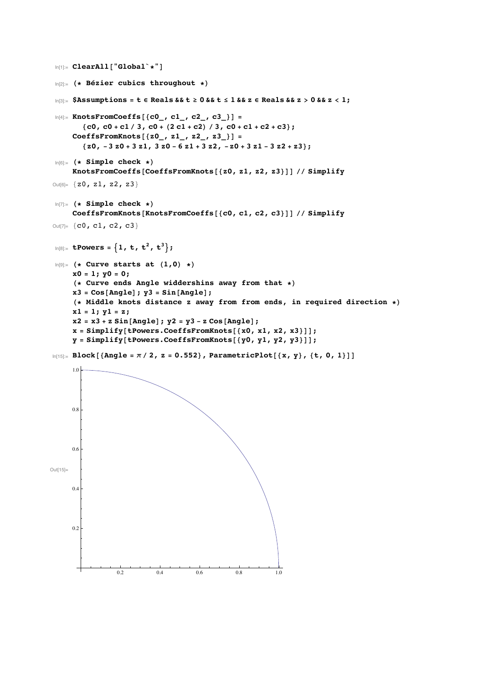```
In[1]:= ClearAll@"Global`*"D
 In[2]:= H* Bézier cubics throughout *L
 \log 2 = \frac{5}{12} SAssumptions = t \epsilon Reals & & t \geq 0 & & t \leq 1 & & z \epsilon Reals & & z > 0 & & z < 1;
 \ln[4] := KnotsFromCoeffs [{c0_, c1_, c2_, c3_} ] =
         {c0, c0 + c1 / 3, c0 + (2 c1 + c2) / 3, c0 + c1 + c2 + c3};\text{CoeffsFromKnots}[\{z0, z1, z2, z2, z3]\}{z0, -3 z0 + 3 z1, 3 z0 - 6 z1 + 3 z2, -z0 + 3 z1 - 3 z2 + z3};In[6]:= H* Simple check *L
      KnotsFromCoeffs@CoeffsFromKnots@8z0, z1, z2, z3<DD êê Simplify
Out[6]= \{z0, z1, z2, z3\}In[7]:= H* Simple check *L
      CoeffsFromKnots@KnotsFromCoeffs@8c0, c1, c2, c3<DD êê Simplify
Out[7]= {c0, c1, c2, c3}In[8] := tPowers = {1, t, t<sup>2</sup>, t<sup>3</sup>};
 \ln[9] = (* Curve starts at (1,0) *)
      x0 = 1; y0 = 0;
      H* Curve ends Angle widdershins away from that *L
      x3 = Cos@AngleD; y3 = Sin@AngleD;
      H* Middle knots distance z away from from ends, in required direction *L
     x1 = 1; y1 = z;
      x^2 = x^3 + z \sin[\text{Angle}]; y^2 = y^3 - z \cos[\text{Angle}];
      x = Simplify [tPowers. CoeffsFromKnots [ {x0, x1, x2, x3} ]];
      y = Simplify [tPowers. CoeffsFromKnots [ {y0, y1, y2, y3} ] ;
In[15] \approx \text{Block} [\{\text{Angle} = \pi / 2, z = 0.552\}, \text{ParametericPlot}[\{x, y\}, \{t, 0, 1\}]]Out[15]=
                   0.2 0.4 0.6 0.8 1.0
      0.2
      0.4
      0.6
      0.8
      1.0
```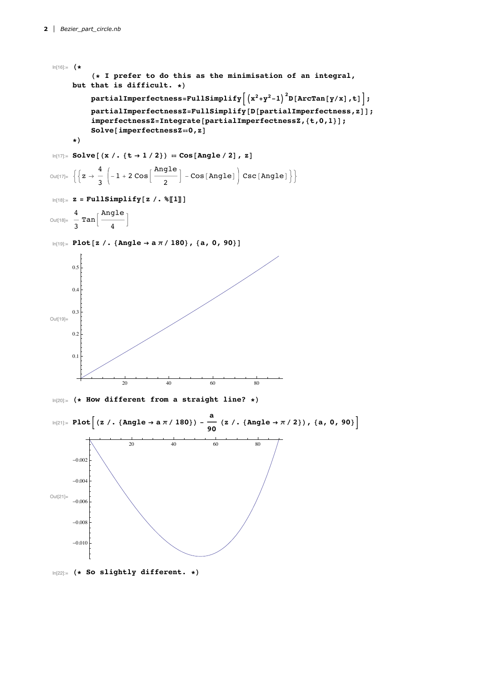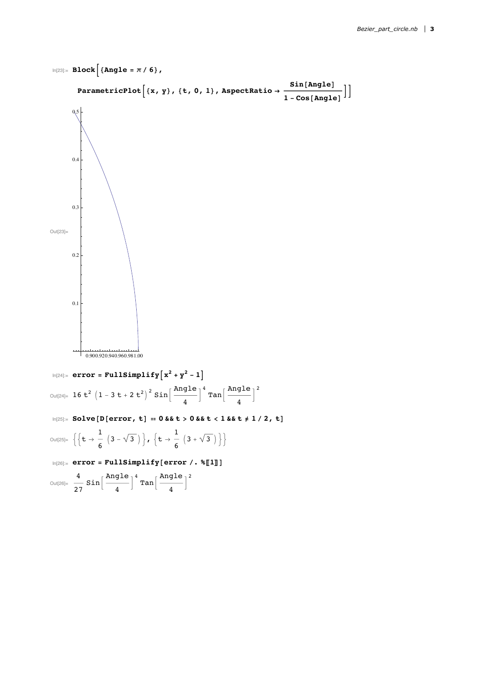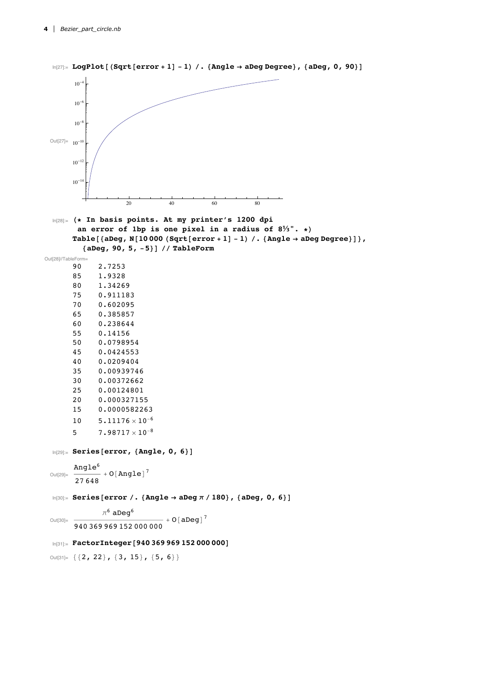```
\log 2 LogPlot [(Sqrt [error + 1] - 1) /. {Angle \rightarrow aDeg Degree}, {aDeg, 0, 90}]
 Out[27]= 10^{-10}20 40 60 80
       10^{-14}10^{-12}10^{-8}10^{-}10^{-4}In[28]:= H* In basis points. At my printer's 1200 dpi
        an error of 1bp is one pixel in a radius of 8⅓". *L
       Table[{aDeg, N[10000 (Sqrt[error + 1] - 1) /. {Angle \rightarrow aDeg Degree}]},
          8aDeg, 90, 5, -5<D êê TableForm
Out[28]//TableForm=
       90 2.7253
       85 1.9328
       80 1.34269
       75 0.911183
       70 0.602095
       65 0.385857
       60 0.238644
       55 0.14156
       50 0.0798954
       45 0.0424553
       40 0.0209404
       35 0.00939746
       30 0.00372662
       25 0.00124801
       20 0.000327155
       15 0.0000582263
       10 5.11176 \times 10^{-6}5 7.98717 \times 10<sup>-8</sup>
  In [29] := Series [error, {Angle, 0, 6}]
 Out[29]=
       Angle<sup>6</sup>
       \frac{1}{27648} + O[Angle]<sup>7</sup>
  In[30]: Series [error /. {Angle → aDeg π / 180}, {aDeg, 0, 6}]
 Out[30]=
               \pi^6 aDeq<sup>6</sup>
       940369969152000000 + O[aDeg]<sup>7</sup>
 In [31]: FactorInteger [940 369 969 152 000 000]
 Out[31]= { { 2, 22 }, { 3, 15 }, { 5, 6 } }
```